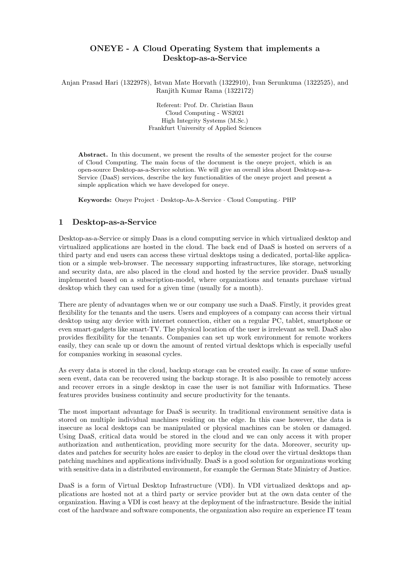# ONEYE - A Cloud Operating System that implements a Desktop-as-a-Service

Anjan Prasad Hari (1322978), Istvan Mate Horvath (1322910), Ivan Serunkuma (1322525), and Ranjith Kumar Rama (1322172)

> Referent: Prof. Dr. Christian Baun Cloud Computing - WS2021 High Integrity Systems (M.Sc.) Frankfurt University of Applied Sciences

Abstract. In this document, we present the results of the semester project for the course of Cloud Computing. The main focus of the document is the oneye project, which is an open-source Desktop-as-a-Service solution. We will give an overall idea about Desktop-as-a-Service (DaaS) services, describe the key functionalities of the oneye project and present a simple application which we have developed for oneye.

Keywords: Oneye Project · Desktop-As-A-Service · Cloud Computing.· PHP

### 1 Desktop-as-a-Service

Desktop-as-a-Service or simply Daas is a cloud computing service in which virtualized desktop and virtualized applications are hosted in the cloud. The back end of DaaS is hosted on servers of a third party and end users can access these virtual desktops using a dedicated, portal-like application or a simple web-browser. The necessary supporting infrastructures, like storage, networking and security data, are also placed in the cloud and hosted by the service provider. DaaS usually implemented based on a subscription-model, where organizations and tenants purchase virtual desktop which they can used for a given time (usually for a month).

There are plenty of advantages when we or our company use such a DaaS. Firstly, it provides great flexibility for the tenants and the users. Users and employees of a company can access their virtual desktop using any device with internet connection, either on a regular PC, tablet, smartphone or even smart-gadgets like smart-TV. The physical location of the user is irrelevant as well. DaaS also provides flexibility for the tenants. Companies can set up work environment for remote workers easily, they can scale up or down the amount of rented virtual desktops which is especially useful for companies working in seasonal cycles.

As every data is stored in the cloud, backup storage can be created easily. In case of some unforeseen event, data can be recovered using the backup storage. It is also possible to remotely access and recover errors in a single desktop in case the user is not familiar with Informatics. These features provides business continuity and secure productivity for the tenants.

The most important advantage for DaaS is security. In traditional environment sensitive data is stored on multiple individual machines residing on the edge. In this case however, the data is insecure as local desktops can be manipulated or physical machines can be stolen or damaged. Using DaaS, critical data would be stored in the cloud and we can only access it with proper authorization and authentication, providing more security for the data. Moreover, security updates and patches for security holes are easier to deploy in the cloud over the virtual desktops than patching machines and applications individually. DaaS is a good solution for organizations working with sensitive data in a distributed environment, for example the German State Ministry of Justice.

DaaS is a form of Virtual Desktop Infrastructure (VDI). In VDI virtualized desktops and applications are hosted not at a third party or service provider but at the own data center of the organization. Having a VDI is cost heavy at the deployment of the infrastructure. Beside the initial cost of the hardware and software components, the organization also require an experience IT team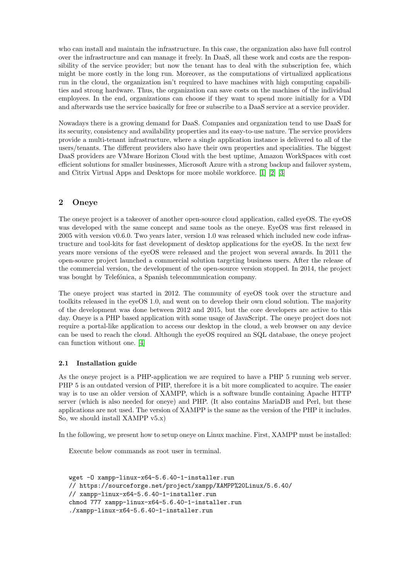who can install and maintain the infrastructure. In this case, the organization also have full control over the infrastructure and can manage it freely. In DaaS, all these work and costs are the responsibility of the service provider; but now the tenant has to deal with the subscription fee, which might be more costly in the long run. Moreover, as the computations of virtualized applications run in the cloud, the organization isn't required to have machines with high computing capabilities and strong hardware. Thus, the organization can save costs on the machines of the individual employees. In the end, organizations can choose if they want to spend more initially for a VDI and afterwards use the service basically for free or subscribe to a DaaS service at a service provider.

Nowadays there is a growing demand for DaaS. Companies and organization tend to use DaaS for its security, consistency and availability properties and its easy-to-use nature. The service providers provide a multi-tenant infrastructure, where a single application instance is delivered to all of the users/tenants. The different providers also have their own properties and specialities. The biggest DaaS providers are VMware Horizon Cloud with the best uptime, Amazon WorkSpaces with cost efficient solutions for smaller businesses, Microsoft Azure with a strong backup and failover system, and Citrix Virtual Apps and Desktops for more mobile workforce. [\[1\]](#page-14-0) [\[2\]](#page-14-1) [\[3\]](#page-14-2)

### 2 Oneye

The oneye project is a takeover of another open-source cloud application, called eyeOS. The eyeOS was developed with the same concept and same tools as the oneye. EyeOS was first released in 2005 with version v0.6.0. Two years later, version 1.0 was released which included new code infrastructure and tool-kits for fast development of desktop applications for the eyeOS. In the next few years more versions of the eyeOS were released and the project won several awards. In 2011 the open-source project launched a commercial solution targeting business users. After the release of the commercial version, the development of the open-source version stopped. In 2014, the project was bought by Telefónica, a Spanish telecommunication company.

The oneye project was started in 2012. The community of eyeOS took over the structure and toolkits released in the eyeOS 1.0, and went on to develop their own cloud solution. The majority of the development was done between 2012 and 2015, but the core developers are active to this day. Oneye is a PHP based application with some usage of JavaScript. The oneye project does not require a portal-like application to access our desktop in the cloud, a web browser on any device can be used to reach the cloud. Although the eyeOS required an SQL database, the oneye project can function without one. [\[4\]](#page-14-3)

#### 2.1 Installation guide

As the oneve project is a PHP-application we are required to have a PHP 5 running web server. PHP 5 is an outdated version of PHP, therefore it is a bit more complicated to acquire. The easier way is to use an older version of XAMPP, which is a software bundle containing Apache HTTP server (which is also needed for oneye) and PHP. (It also contains MariaDB and Perl, but these applications are not used. The version of XAMPP is the same as the version of the PHP it includes. So, we should install XAMPP v5.x)

In the following, we present how to setup oneye on Linux machine. First, XAMPP must be installed:

Execute below commands as root user in terminal.

```
wget -O xampp-linux-x64-5.6.40-1-installer.run
// https://sourceforge.net/project/xampp/XAMPP%20Linux/5.6.40/
// xampp-linux-x64-5.6.40-1-installer.run
chmod 777 xampp-linux-x64-5.6.40-1-installer.run
./xampp-linux-x64-5.6.40-1-installer.run
```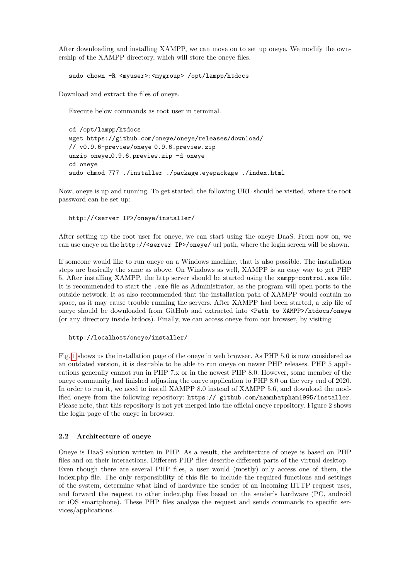After downloading and installing XAMPP, we can move on to set up oneye. We modify the ownership of the XAMPP directory, which will store the oneye files.

sudo chown -R <myuser>:<mygroup> /opt/lampp/htdocs

Download and extract the files of oneye.

Execute below commands as root user in terminal.

cd /opt/lampp/htdocs wget https://github.com/oneye/oneye/releases/download/ // v0.9.6-preview/oneye\_0.9.6.preview.zip unzip oneye 0.9.6.preview.zip -d oneye cd oneye sudo chmod 777 ./installer ./package.eyepackage ./index.html

Now, oneye is up and running. To get started, the following URL should be visited, where the root password can be set up:

http://<server IP>/oneye/installer/

After setting up the root user for oneye, we can start using the oneye DaaS. From now on, we can use oneye on the http://<server IP>/oneye/ url path, where the login screen will be shown.

If someone would like to run oneye on a Windows machine, that is also possible. The installation steps are basically the same as above. On Windows as well, XAMPP is an easy way to get PHP 5. After installing XAMPP, the http server should be started using the xampp-control.exe file. It is recommended to start the .exe file as Administrator, as the program will open ports to the outside network. It as also recommended that the installation path of XAMPP would contain no space, as it may cause trouble running the servers. After XAMPP had been started, a .zip file of oneye should be downloaded from GitHub and extracted into <Path to XAMPP>/htdocs/oneye (or any directory inside htdocs). Finally, we can access oneye from our browser, by visiting

#### http://localhost/oneye/installer/

Fig. [1](#page-3-0) shows us the installation page of the oneye in web browser. As PHP 5.6 is now considered as an outdated version, it is desirable to be able to run oneye on newer PHP releases. PHP 5 applications generally cannot run in PHP 7.x or in the newest PHP 8.0. However, some member of the oneye community had finished adjusting the oneye application to PHP 8.0 on the very end of 2020. In order to run it, we need to install XAMPP 8.0 instead of XAMPP 5.6, and download the modified oneye from the following repository: https:// github.com/namnhatpham1995/installer. Please note, that this repository is not yet merged into the official oneye repository. Figure 2 shows the login page of the oneye in browser.

#### 2.2 Architecture of oneye

Oneye is DaaS solution written in PHP. As a result, the architecture of oneye is based on PHP files and on their interactions. Different PHP files describe different parts of the virtual desktop. Even though there are several PHP files, a user would (mostly) only access one of them, the index.php file. The only responsibility of this file to include the required functions and settings of the system, determine what kind of hardware the sender of an incoming HTTP request uses, and forward the request to other index.php files based on the sender's hardware (PC, android or iOS smartphone). These PHP files analyse the request and sends commands to specific services/applications.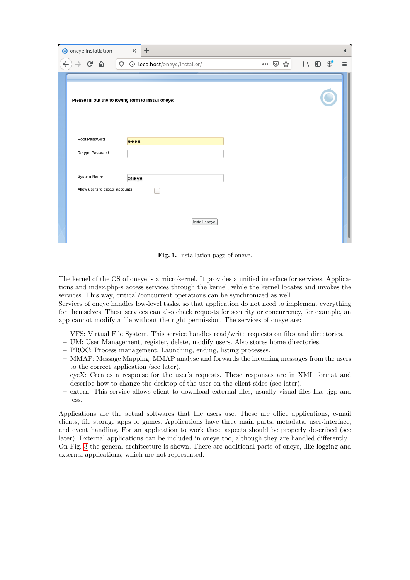| O oneye Installation                                    | $+$<br>$\times$                                          |                |                | × |
|---------------------------------------------------------|----------------------------------------------------------|----------------|----------------|---|
| $C$ $\hat{\mathbf{u}}$<br>$\leftarrow$<br>$\rightarrow$ | $\mathbb{O}$ $\circ$ localhost/oneye/installer/<br>… ⊙ ☆ | $\blacksquare$ | $\circledcirc$ | Ξ |
|                                                         |                                                          |                |                |   |
|                                                         | Please fill out the following form to install oneye:     |                |                |   |
| Root Password                                           |                                                          |                |                |   |
| Retype Password                                         |                                                          |                |                |   |
|                                                         |                                                          |                |                |   |
| System Name<br>Allow users to create accounts           | oneye                                                    |                |                |   |
|                                                         |                                                          |                |                |   |
|                                                         | Install oneye!                                           |                |                |   |

<span id="page-3-0"></span>Fig. 1. Installation page of oneye.

The kernel of the OS of oneye is a microkernel. It provides a unified interface for services. Applications and index.php-s access services through the kernel, while the kernel locates and invokes the services. This way, critical/concurrent operations can be synchronized as well.

Services of oneye handles low-level tasks, so that application do not need to implement everything for themselves. These services can also check requests for security or concurrency, for example, an app cannot modify a file without the right permission. The services of oneye are:

- VFS: Virtual File System. This service handles read/write requests on files and directories.
- UM: User Management, register, delete, modify users. Also stores home directories.
- PROC: Process management. Launching, ending, listing processes.
- MMAP: Message Mapping. MMAP analyse and forwards the incoming messages from the users to the correct application (see later).
- eyeX: Creates a response for the user's requests. These responses are in XML format and describe how to change the desktop of the user on the client sides (see later).
- extern: This service allows client to download external files, usually visual files like .jgp and .css.

Applications are the actual softwares that the users use. These are office applications, e-mail clients, file storage apps or games. Applications have three main parts: metadata, user-interface, and event handling. For an application to work these aspects should be properly described (see later). External applications can be included in oneye too, although they are handled differently. On Fig. [3](#page-5-0) the general architecture is shown. There are additional parts of oneye, like logging and external applications, which are not represented.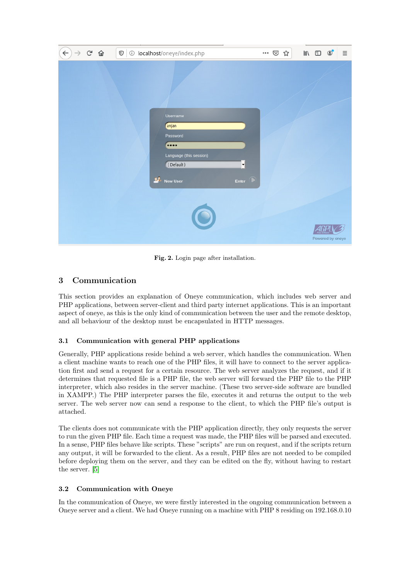| $\left( \leftarrow \right)$ $\rightarrow$ $\left( \begin{matrix} 1 & 0 \\ 0 & 1 \end{matrix} \right)$ |  |   | $\boxed{\mathbb{O}}$ $\boxed{\odot}$ localhost/oneye/index.php                                                      |                          | … ⊙ ☆ | F | $\mathbb{I}\mathbb{N} \quad \mathbb{O} \quad \circledcirc$ |                  | Ξ |
|-------------------------------------------------------------------------------------------------------|--|---|---------------------------------------------------------------------------------------------------------------------|--------------------------|-------|---|------------------------------------------------------------|------------------|---|
|                                                                                                       |  | 蘇 | Username<br>anjan<br>Password<br>$\bullet\bullet\bullet\bullet$<br>Language (this session)<br>(Default)<br>New User | ▾<br>$\bigcirc$<br>Enter |       |   |                                                            |                  |   |
|                                                                                                       |  |   |                                                                                                                     |                          |       |   |                                                            | Powered by oneye |   |

Fig. 2. Login page after installation.

# 3 Communication

This section provides an explanation of Oneye communication, which includes web server and PHP applications, between server-client and third party internet applications. This is an important aspect of oneye, as this is the only kind of communication between the user and the remote desktop, and all behaviour of the desktop must be encapsulated in HTTP messages.

## 3.1 Communication with general PHP applications

Generally, PHP applications reside behind a web server, which handles the communication. When a client machine wants to reach one of the PHP files, it will have to connect to the server application first and send a request for a certain resource. The web server analyzes the request, and if it determines that requested file is a PHP file, the web server will forward the PHP file to the PHP interpreter, which also resides in the server machine. (These two server-side software are bundled in XAMPP.) The PHP interpreter parses the file, executes it and returns the output to the web server. The web server now can send a response to the client, to which the PHP file's output is attached.

The clients does not communicate with the PHP application directly, they only requests the server to run the given PHP file. Each time a request was made, the PHP files will be parsed and executed. In a sense, PHP files behave like scripts. These "scripts" are run on request, and if the scripts return any output, it will be forwarded to the client. As a result, PHP files are not needed to be compiled before deploying them on the server, and they can be edited on the fly, without having to restart the server. [\[5\]](#page-14-4)

## <span id="page-4-0"></span>3.2 Communication with Oneye

In the communication of Oneye, we were firstly interested in the ongoing communication between a Oneye server and a client. We had Oneye running on a machine with PHP 8 residing on 192.168.0.10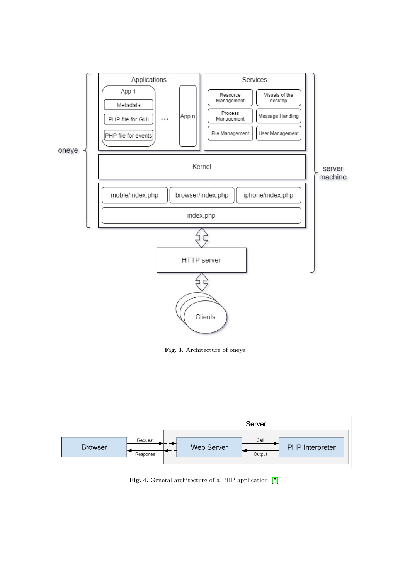

<span id="page-5-0"></span>Fig. 3. Architecture of oneye



Fig. 4. General architecture of a PHP application. [\[5\]](#page-14-4)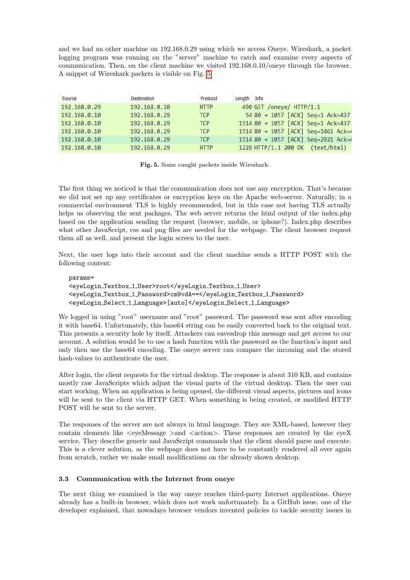and we had an other machine on 192.168.0.29 using which we access Oneye. Wireshark, a packet logging program was running on the "server" machine to catch and examine every aspects of communication. Then, on the client machine we visited 192.168.0.10/oneye through the browser. A snippet of Wireshark packets is visible on Fig. [5](#page-6-0)

| Source       | Destination  | Protocol    | Length Info                         |
|--------------|--------------|-------------|-------------------------------------|
| 192.168.0.29 | 192.168.0.10 | <b>HTTP</b> | 490 GET /oneye/ HTTP/1.1            |
| 192.168.0.10 | 192.168.0.29 | <b>TCP</b>  | 54 80 → 1057 [ACK] Seq=1 Ack=437    |
| 192.168.0.10 | 192.168.0.29 | <b>TCP</b>  | 1514 80 → 1057 [ACK] Seq=1 Ack=437  |
| 192.168.0.10 | 192.168.0.29 | <b>TCP</b>  | 1514 80 → 1057 [ACK] Seq=1461 Ack=4 |
| 192.168.0.10 | 192.168.0.29 | <b>TCP</b>  | 1514 80 → 1057 [ACK] Seq=2921 Ack=4 |
| 192.168.0.10 | 192.168.0.29 | <b>HTTP</b> | 1228 HTTP/1.1 200 OK (text/html)    |

<span id="page-6-0"></span>Fig. 5. Some caught packets inside Wireshark.

The first thing we noticed is that the communication does not use any encryption. That's because we did not set up any certificates or encryption keys on the Apache web-server. Naturally, in a commercial environment TLS is highly recommended, but in this case not having TLS actually helps us observing the sent packages. The web server returns the html output of the index.php based on the application sending the request (browser, mobile, or iphone?). Index.php describes what other JavaScript, css and png files are needed for the webpage. The client browser request them all as well, and present the login screen to the user.

Next, the user logs into their account and the client machine sends a HTTP POST with the following content:

### params= <eyeLogin Textbox 1 User>root</eyeLogin Textbox 1 User> <eyeLogin Textbox 1 Password>cm9vdA==</eyeLogin Textbox 1 Password> <eyeLogin Select 1 Language>[auto]</eyeLogin Select 1 Language>

We logged in using "root" username and "root" password. The password was sent after encoding it with base64. Unfortunately, this base64 string can be easily converted back to the original text. This presents a security hole by itself. Attackers can eavesdrop this message and get access to our account. A solution would be to use a hash function with the password as the function's input and only then use the base64 encoding. The oneye server can compare the incoming and the stored hash-values to authenticate the user.

After login, the client requests for the virtual desktop. The response is about 310 KB, and contains mostly raw JavaScripts which adjust the visual parts of the virtual desktop. Then the user can start working. When an application is being opened, the different visual aspects, pictures and icons will be sent to the client via HTTP GET. When something is being created, or modified HTTP POST will be sent to the server.

The responses of the server are not always in html language. They are XML-based, however they contain elements like  $\leq$ eyeMessage  $>$ and  $\leq$ action $>$ . These responses are created by the eyeX service. They describe generic and JavaScript commands that the client should parse and execute. This is a clever solution, as the webpage does not have to be constantly rendered all over again from scratch, rather we make small modifications on the already shown desktop.

### 3.3 Communication with the Internet from oneye

The next thing we examined is the way oneye reaches third-party Internet applications. Oneye already has a built-in browser, which does not work unfortunately. In a GitHub issue, one of the developer explained, that nowadays browser vendors invented policies to tackle security issues in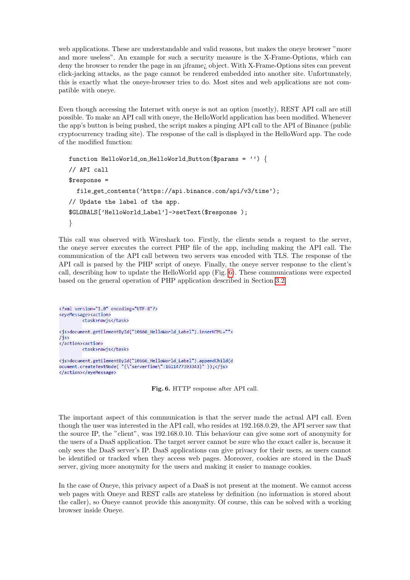web applications. These are understandable and valid reasons, but makes the oneye browser "more and more useless". An example for such a security measure is the X-Frame-Options, which can deny the browser to render the page in an *iframe*; object. With X-Frame-Options sites can prevent click-jacking attacks, as the page cannot be rendered embedded into another site. Unfortunately, this is exactly what the oneye-browser tries to do. Most sites and web applications are not compatible with oneye.

Even though accessing the Internet with oneye is not an option (mostly), REST API call are still possible. To make an API call with oneye, the HelloWorld application has been modified. Whenever the app's button is being pushed, the script makes a pinging API call to the API of Binance (public cryptocurrency trading site). The response of the call is displayed in the HelloWord app. The code of the modified function:

```
function HelloWorld on HelloWorld Button($params = '') {
// API call
$response =
  file get contents('https://api.binance.com/api/v3/time');
// Update the label of the app.
$GLOBALS['HelloWorld Label']->setText($response );
}
```
This call was observed with Wireshark too. Firstly, the clients sends a request to the server, the oneye server executes the correct PHP file of the app, including making the API call. The communication of the API call between two servers was encoded with TLS. The response of the API call is parsed by the PHP script of oneye. Finally, the oneye server response to the client's call, describing how to update the HelloWorld app (Fig. [6\)](#page-7-0). These communications were expected based on the general operation of PHP application described in Section [3.2.](#page-4-0)

<?xml version="1.0" encoding="UTF-8"?> <eyeMessage><action> <task>rawjs</task> <js>document.getElementById("10666\_HelloWorld\_Label").innerHTML=""<  $1$ is> </action><action> <task>rawjs</task> <js>document.getElementById("10666\_HelloWorld\_Label").appendChild(d ocument.createTextNode( "{\"serverTime\":1611477393343}"));</js> </action></eveMessage>

<span id="page-7-0"></span>Fig. 6. HTTP response after API call.

The important aspect of this communication is that the server made the actual API call. Even though the user was interested in the API call, who resides at 192.168.0.29, the API server saw that the source IP, the "client", was 192.168.0.10. This behaviour can give some sort of anonymity for the users of a DaaS application. The target server cannot be sure who the exact caller is, because it only sees the DaaS server's IP. DaaS applications can give privacy for their users, as users cannot be identified or tracked when they access web pages. Moreover, cookies are stored in the DaaS server, giving more anonymity for the users and making it easier to manage cookies.

In the case of Oneye, this privacy aspect of a DaaS is not present at the moment. We cannot access web pages with Oneye and REST calls are stateless by definition (no information is stored about the caller), so Oneye cannot provide this anonymity. Of course, this can be solved with a working browser inside Oneye.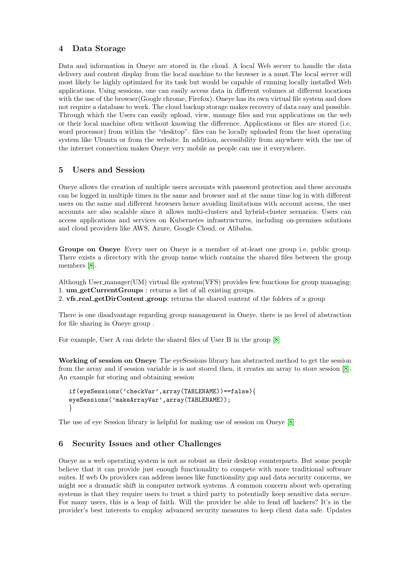## 4 Data Storage

Data and information in Oneye are stored in the cloud. A local Web server to handle the data delivery and content display from the local machine to the browser is a must.The local server will most likely be highly optimized for its task but would be capable of running locally installed Web applications. Using sessions, one can easily access data in different volumes at different locations with the use of the browser(Google chrome, Firefox). Oneye has its own virtual file system and does not require a database to work. The cloud backup storage makes recovery of data easy and possible. Through which the Users can easily upload, view, manage files and run applications on the web or their local machine often without knowing the difference. Applications or files are stored (i.e. word processor) from within the "desktop". files can be locally uploaded from the host operating system like Ubuntu or from the website. In addition, accessibility from anywhere with the use of the internet connection makes Oneye very mobile as people can use it everywhere.

## 5 Users and Session

Oneye allows the creation of multiple users accounts with password protection and these accounts can be logged in multiple times in the same and browser and at the same time log in with different users on the same and different browsers hence avoiding limitations with account access, the user accounts are also scalable since it allows multi-clusters and hybrid-cluster scenarios. Users can access applications and services on Kubernetes infrastructures, including on-premises solutions and cloud providers like AWS, Azure, Google Cloud, or Alibaba.

Groups on Oneye Every user on Oneye is a member of at-least one group i.e, public group. There exists a directory with the group name which contains the shared files between the group members [\[8\]](#page-14-5).

Although User manager(UM) virtual file system(VFS) provides few functions for group managing: 1. um getCurrentGroups : returns a list of all existing groups.

2. vfs real getDirContent group: returns the shared content of the folders of a group

There is one disadvantage regarding group management in Oneye, there is no level of abstraction for file sharing in Oneye group .

For example, User A can delete the shared files of User B in the group [\[8\]](#page-14-5)

Working of session on Oneye The eyeSessions library has abstracted method to get the session from the array and if session variable is is not stored then, it creates an array to store session [\[8\]](#page-14-5). An example for storing and obtaining session

```
if(eyeSessions('checkVar',array(TABLENAME))==false){
eyeSessions('makeArrayVar',array(TABLENAME));
}
```
The use of eye Session library is helpful for making use of session on Oneye [\[8\]](#page-14-5)

# 6 Security Issues and other Challenges

Oneye as a web operating system is not as robust as their desktop counterparts. But some people believe that it can provide just enough functionality to compete with more traditional software suites. If web Os providers can address issues like functionality gap and data security concerns, we might see a dramatic shift in computer network systems. A common concern about web operating systems is that they require users to trust a third party to potentially keep sensitive data secure. For many users, this is a leap of faith. Will the provider be able to fend off hackers? It's in the provider's best interests to employ advanced security measures to keep client data safe. Updates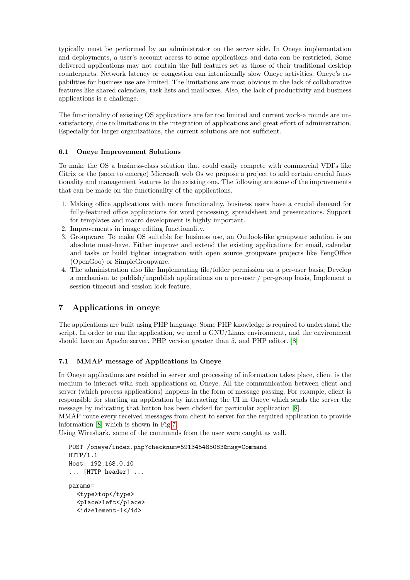typically must be performed by an administrator on the server side. In Oneye implementation and deployments, a user's account access to some applications and data can be restricted. Some delivered applications may not contain the full features set as those of their traditional desktop counterparts. Network latency or congestion can intentionally slow Oneye activities. Oneye's capabilities for business use are limited. The limitations are most obvious in the lack of collaborative features like shared calendars, task lists and mailboxes. Also, the lack of productivity and business applications is a challenge.

The functionality of existing OS applications are far too limited and current work-a rounds are unsatisfactory, due to limitations in the integration of applications and great effort of administration. Especially for larger organizations, the current solutions are not sufficient.

## 6.1 Oneye Improvement Solutions

To make the OS a business-class solution that could easily compete with commercial VDI's like Citrix or the (soon to emerge) Microsoft web Os we propose a project to add certain crucial functionality and management features to the existing one. The following are some of the improvements that can be made on the functionality of the applications.

- 1. Making office applications with more functionality, business users have a crucial demand for fully-featured office applications for word processing, spreadsheet and presentations. Support for templates and macro development is highly important.
- 2. Improvements in image editing functionality.
- 3. Groupware: To make OS suitable for business use, an Outlook-like groupware solution is an absolute must-have. Either improve and extend the existing applications for email, calendar and tasks or build tighter integration with open source groupware projects like FengOffice (OpenGoo) or SimpleGroupware.
- 4. The administration also like Implementing file/folder permission on a per-user basis, Develop a mechanism to publish/unpublish applications on a per-user / per-group basis, Implement a session timeout and session lock feature.

# 7 Applications in oneye

The applications are built using PHP language. Some PHP knowledge is required to understand the script. In order to run the application, we need a GNU/Linux environment, and the environment should have an Apache server, PHP version greater than 5, and PHP editor. [\[8\]](#page-14-5)

### 7.1 MMAP message of Applications in Oneye

In Oneye applications are resided in server and processing of information takes place, client is the medium to interact with such applications on Oneye. All the communication between client and server (which process applications) happens in the form of message passing. For example, client is responsible for starting an application by interacting the UI in Oneye which sends the server the message by indicating that button has been clicked for particular application [\[8\]](#page-14-5).

MMAP route every received messages from client to server for the required application to provide information [\[8\]](#page-14-5) which is shown in Fig[.7.](#page-10-0)

Using Wireshark, some of the commands from the user were caught as well.

```
POST /oneye/index.php?checknum=591345485083&msg=Command
HTTP/1.1
Host: 192.168.0.10
... [HTTP header] ...
params=
  <type>top</type>
  <place>left</place>
  <id>element-1</id>
```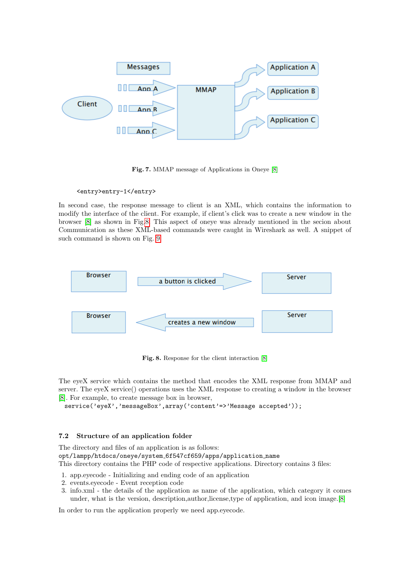

<span id="page-10-0"></span>Fig. 7. MMAP message of Applications in Oneye [\[8\]](#page-14-5)

<entry>entry-1</entry>

In second case, the response message to client is an XML, which contains the information to modify the interface of the client. For example, if client's click was to create a new window in the browser [\[8\]](#page-14-5) as shown in Fig[.8.](#page-10-1) This aspect of oneye was already mentioned in the secion about Communication as these XML-based commands were caught in Wireshark as well. A snippet of such command is shown on Fig. [9.](#page-11-0)



<span id="page-10-1"></span>Fig. 8. Response for the client interaction [\[8\]](#page-14-5)

The eyeX service which contains the method that encodes the XML response from MMAP and server. The eyeX service() operations uses the XML response to creating a window in the browser [\[8\]](#page-14-5). For example, to create message box in browser,

service('eyeX','messageBox',array('content'=>'Message accepted'));

### 7.2 Structure of an application folder

The directory and files of an application is as follows: opt/lampp/htdocs/oneye/system 6f547cf659/apps/application name This directory contains the PHP code of respective applications. Directory contains 3 files:

- 1. app.eyecode Initializing and ending code of an application
- 2. events.eyecode Event reception code
- 3. info.xml the details of the application as name of the application, which category it comes under, what is the version, description,author,license,type of application, and icon image.[\[8\]](#page-14-5)

In order to run the application properly we need app.eyecode.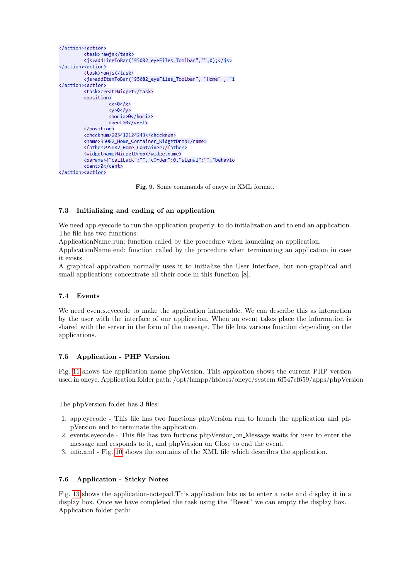```
</action><action>
         <task>rawis</task>
         <js>addLineToBar("95082 eyeFiles Toolbar","",0);</js>
</action><action>
         <task>rawis</task>
         <js>addItemToBar("95082_eyeFiles_Toolbar", "Home", "i
</action><action>
         <task>createWidget</task>
         <nosition>
                   \langle x\rangle 0 \langle x\rangle<y>0</y> </y<horiz>0</horiz>
                   <vert>0</vert>
         \langle/position>
         <checknum>205412124243</checknum>
         <name>95082_Home_Container_WidgetDrop</name>
         <father>95082_Home_Container</father>
         <widgetname>WidgetDrop</widgetname>
         <params>{"callback":"","cOrder":0,"signal":"","behavio
         <cent>0</cent>
</action><action>
```
<span id="page-11-0"></span>Fig. 9. Some commands of oneye in XML format.

### 7.3 Initializing and ending of an application

We need app.eyecode to run the application properly, to do initialization and to end an application. The file has two functions:

ApplicationName run: function called by the procedure when launching an application.

ApplicationName end: function called by the procedure when terminating an application in case it exists.

A graphical application normally uses it to initialize the User Interface, but non-graphical and small applications concentrate all their code in this function [8].

### 7.4 Events

We need events.eyecode to make the application intractable. We can describe this as interaction by the user with the interface of our application. When an event takes place the information is shared with the server in the form of the message. The file has various function depending on the applications.

### 7.5 Application - PHP Version

Fig. [11](#page-12-0) shows the application name phpVersion. This applcation shows the current PHP version used in oneye. Application folder path: /opt/lampp/htdocs/oneye/system\_6f547cf659/apps/phpVersion

The phpVersion folder has 3 files:

- 1. app.eyecode This file has two functions phpVersion run to launch the application and phpVersion end to terminate the application.
- 2. events.eyecode This file has two fuctions phpVersion on Message waits for user to enter the message and responds to it, and phpVersion on Close to end the event.
- 3. info.xml Fig. [10](#page-12-1) shows the contains of the XML file which describes the application.

#### 7.6 Application - Sticky Notes

Fig. [13](#page-13-0) shows the application-notepad.This application lets us to enter a note and display it in a display box. Once we have completed the task using the "Reset" we can empty the display box. Application folder path: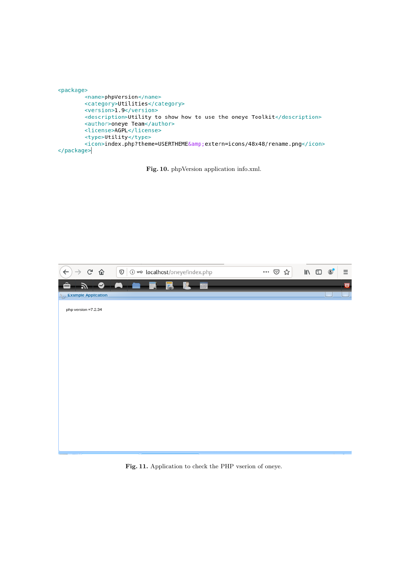```
<package>
       <name>phpVersion</name>
       <category>Utilities</category>
       <version>1.9</version>
       <description>Utility to show how to use the oneye Toolkit</description>
        <author>oneye Team</author>
       <license>AGPL</license>
       <type>Utility</type>
        <icon>index.php?theme=USERTHEME&amp;extern=icons/48x48/rename.png</icon>
</package>
```
<span id="page-12-1"></span>Fig. 10. phpVersion application info.xml.

<span id="page-12-0"></span>

Fig. 11. Application to check the PHP vserion of oneye.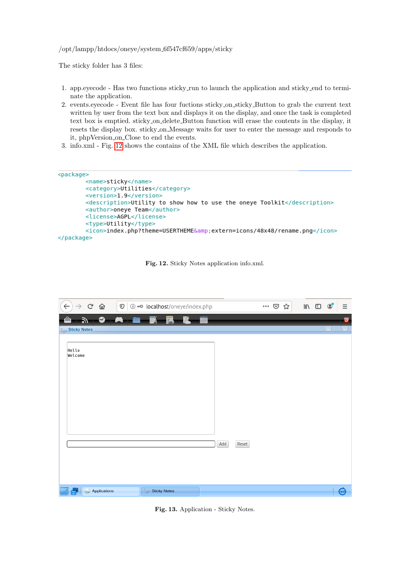### /opt/lampp/htdocs/oneye/system 6f547cf659/apps/sticky

The sticky folder has 3 files:

- 1. app.eyecode Has two functions sticky run to launch the application and sticky end to terminate the application.
- 2. events.eyecode Event file has four fuctions sticky on sticky Button to grab the current text written by user from the text box and displays it on the display, and once the task is completed text box is emptied. sticky on delete Button function will erase the contents in the display, it resets the display box. sticky on Message waits for user to enter the message and responds to it, phpVersion on Close to end the events.
- 3. info.xml Fig. [12](#page-13-1) shows the contains of the XML file which describes the application.

```
<package>
       <name>sticky</name>
       <category>Utilities</category>
       <version>1.9</version>
       <description>Utility to show how to use the oneye Toolkit</description>
       <author>oneye Team</author>
       <license>AGPL</license>
       <type>Utility</type>
       <icon>index.php?theme=USERTHEME&amp;extern=icons/48x48/rename.png</icon>
</package>
```
<span id="page-13-1"></span>

| $\leftarrow$<br>$\mathsf{G}$<br>$\rightarrow$ | ⇧<br>$\mathbb O$<br><b>(i)</b> $m$ localhost/oneye/index.php |     |       | $\cdots$ $\odot$ | ☆ | $\parallel$ | ⊕ | $\circledcirc$ | Ξ                     |
|-----------------------------------------------|--------------------------------------------------------------|-----|-------|------------------|---|-------------|---|----------------|-----------------------|
| $\bullet$<br>习                                | E<br>$\Box$<br>--                                            |     |       |                  |   |             |   |                | $\bullet$             |
| Sticky Notes                                  |                                                              |     |       |                  |   |             |   |                |                       |
| Hello<br>Welcome                              |                                                              |     |       |                  |   |             |   |                |                       |
|                                               |                                                              | Add | Reset |                  |   |             |   |                |                       |
| Applications                                  | Sticky Notes                                                 |     |       |                  |   |             |   |                | $\bm{\mathsf{\odot}}$ |

<span id="page-13-0"></span>Fig. 13. Application - Sticky Notes.